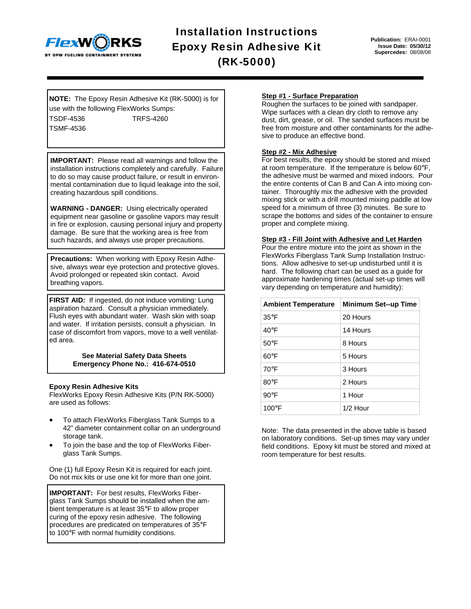

Installation Instructions Epoxy Resin Adhesive Kit (RK-5000)

**Publication:** ERAI-0001 **Issue Date: 05/30/12 Supercedes:** 08/08/08

**NOTE:** The Epoxy Resin Adhesive Kit (RK-5000) is for use with the following FlexWorks Sumps: TSDF-4536 TRFS-4260

TSMF-4536

**IMPORTANT:** Please read all warnings and follow the installation instructions completely and carefully. Failure to do so may cause product failure, or result in environmental contamination due to liquid leakage into the soil, creating hazardous spill conditions.

**WARNING - DANGER:** Using electrically operated equipment near gasoline or gasoline vapors may result in fire or explosion, causing personal injury and property damage. Be sure that the working area is free from such hazards, and always use proper precautions.

**Precautions:** When working with Epoxy Resin Adhesive, always wear eye protection and protective gloves. Avoid prolonged or repeated skin contact. Avoid breathing vapors.

FIRST AID: If ingested, do not induce vomiting: Lung aspiration hazard. Consult a physician immediately. Flush eyes with abundant water. Wash skin with soap and water. If irritation persists, consult a physician. In case of discomfort from vapors, move to a well ventilated area.

> **See Material Safety Data Sheets Emergency Phone No.: 416-674-0510**

# **Epoxy Resin Adhesive Kits**

FlexWorks Epoxy Resin Adhesive Kits (P/N RK-5000) are used as follows:

- To attach FlexWorks Fiberglass Tank Sumps to a 42" diameter containment collar on an underground storage tank.
- To join the base and the top of FlexWorks Fiberglass Tank Sumps.

One (1) full Epoxy Resin Kit is required for each joint. Do not mix kits or use one kit for more than one joint.

**IMPORTANT:** For best results, FlexWorks Fiberglass Tank Sumps should be installed when the ambient temperature is at least 35°F to allow proper curing of the epoxy resin adhesive. The following procedures are predicated on temperatures of 35°F to 100°F with normal humidity conditions.

### **Step #1 - Surface Preparation**

Roughen the surfaces to be joined with sandpaper. Wipe surfaces with a clean dry cloth to remove any dust, dirt, grease, or oil. The sanded surfaces must be free from moisture and other contaminants for the adhesive to produce an effective bond.

# **Step #2 - Mix Adhesive**

For best results, the epoxy should be stored and mixed at room temperature. If the temperature is below 60°F, the adhesive must be warmed and mixed indoors. Pour the entire contents of Can B and Can A into mixing container. Thoroughly mix the adhesive with the provided mixing stick or with a drill mounted mixing paddle at low speed for a minimum of three (3) minutes. Be sure to scrape the bottoms and sides of the container to ensure proper and complete mixing.

#### **Step #3 - Fill Joint with Adhesive and Let Harden**

Pour the entire mixture into the joint as shown in the FlexWorks Fiberglass Tank Sump Installation Instructions. Allow adhesive to set-up undisturbed until it is hard. The following chart can be used as a guide for approximate hardening times (actual set-up times will vary depending on temperature and humidity):

| <b>Ambient Temperature</b> | <b>Minimum Set--up Time</b> |
|----------------------------|-----------------------------|
| $35^{\circ}$ F             | 20 Hours                    |
| $40^{\circ}$ F             | 14 Hours                    |
| $50^{\circ}$ F             | 8 Hours                     |
| $60^{\circ}$ F             | 5 Hours                     |
| $70^{\circ}$ F             | 3 Hours                     |
| 80°F                       | 2 Hours                     |
| $90^{\circ}$ F             | 1 Hour                      |
| $100^{\circ}$ F            | $1/2$ Hour                  |

Note: The data presented in the above table is based on laboratory conditions. Set-up times may vary under field conditions. Epoxy kit must be stored and mixed at room temperature for best results.